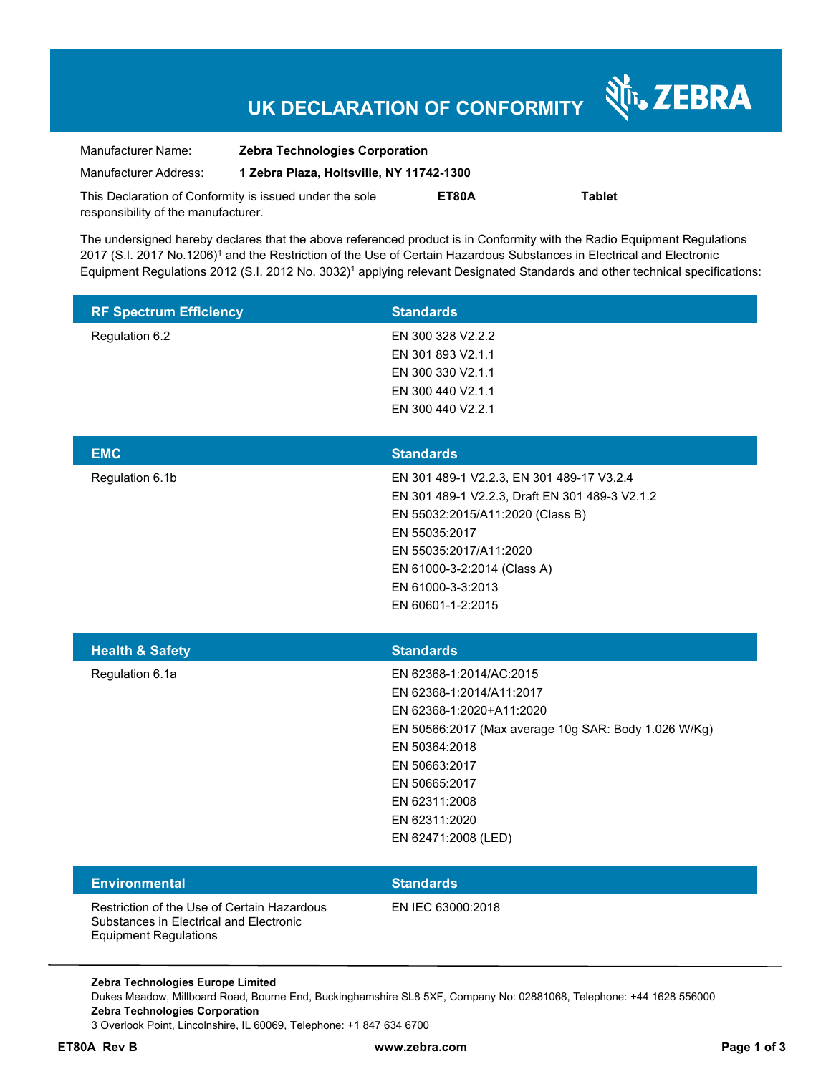# **UK DECLARATION OF CONFORMITY**

Nr. ZEBRA

| Manufacturer Name:                                      | <b>Zebra Technologies Corporation</b>    |       |               |  |
|---------------------------------------------------------|------------------------------------------|-------|---------------|--|
| Manufacturer Address:                                   | 1 Zebra Plaza, Holtsville, NY 11742-1300 |       |               |  |
| This Declaration of Conformity is issued under the sole |                                          | ET80A | <b>Tablet</b> |  |
| responsibility of the manufacturer.                     |                                          |       |               |  |

The undersigned hereby declares that the above referenced product is in Conformity with the Radio Equipment Regulations 2017 (S.I. 2017 No.1206)<sup>1</sup> and the Restriction of the Use of Certain Hazardous Substances in Electrical and Electronic Equipment Regulations 2012 (S.I. 2012 No. 3032)<sup>1</sup> applying relevant Designated Standards and other technical specifications:

| <b>RF Spectrum Efficiency</b>                                                                                          | <b>Standards</b>                                                                                                                                                                                                                                    |
|------------------------------------------------------------------------------------------------------------------------|-----------------------------------------------------------------------------------------------------------------------------------------------------------------------------------------------------------------------------------------------------|
| Regulation 6.2                                                                                                         | EN 300 328 V2.2.2<br>EN 301 893 V2.1.1<br>EN 300 330 V2.1.1<br>EN 300 440 V2.1.1<br>EN 300 440 V2.2.1                                                                                                                                               |
| <b>EMC</b>                                                                                                             | <b>Standards</b>                                                                                                                                                                                                                                    |
| Regulation 6.1b                                                                                                        | EN 301 489-1 V2.2.3, EN 301 489-17 V3.2.4<br>EN 301 489-1 V2.2.3, Draft EN 301 489-3 V2.1.2<br>EN 55032:2015/A11:2020 (Class B)<br>EN 55035:2017<br>EN 55035:2017/A11:2020<br>EN 61000-3-2:2014 (Class A)<br>EN 61000-3-3:2013<br>EN 60601-1-2:2015 |
|                                                                                                                        |                                                                                                                                                                                                                                                     |
| <b>Health &amp; Safety</b>                                                                                             | <b>Standards</b>                                                                                                                                                                                                                                    |
| Regulation 6.1a                                                                                                        | EN 62368-1:2014/AC:2015<br>EN 62368-1:2014/A11:2017<br>EN 62368-1:2020+A11:2020<br>EN 50566:2017 (Max average 10g SAR: Body 1.026 W/Kg)<br>EN 50364:2018<br>EN 50663:2017<br>EN 50665:2017<br>EN 62311:2008<br>EN 62311:2020<br>EN 62471:2008 (LED) |
| <b>Environmental</b>                                                                                                   | <b>Standards</b>                                                                                                                                                                                                                                    |
| Restriction of the Use of Certain Hazardous<br>Substances in Electrical and Electronic<br><b>Equipment Regulations</b> | EN IEC 63000:2018                                                                                                                                                                                                                                   |

Dukes Meadow, Millboard Road, Bourne End, Buckinghamshire SL8 5XF, Company No: 02881068, Telephone: +44 1628 556000 **Zebra Technologies Corporation**  3 Overlook Point, Lincolnshire, IL 60069, Telephone: +1 847 634 6700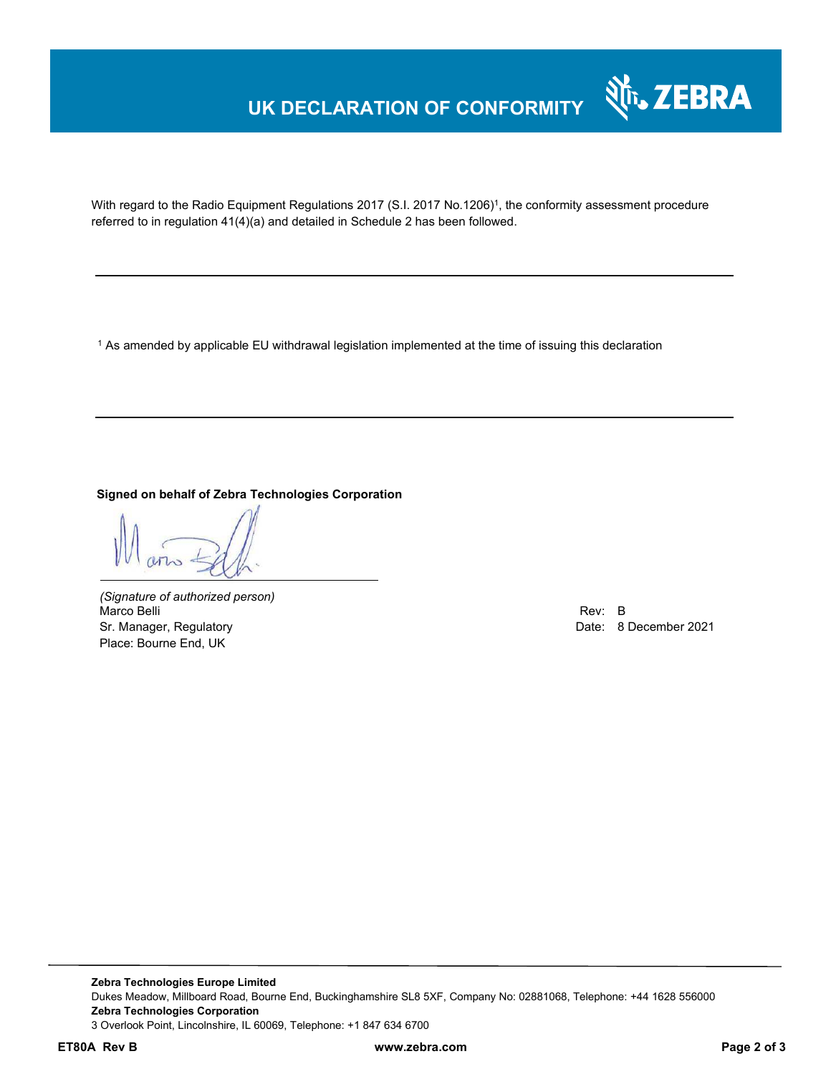## **UK DECLARATION OF CONFORMITY**



With regard to the Radio Equipment Regulations 2017 (S.I. 2017 No.1206)<sup>1</sup>, the conformity assessment procedure referred to in regulation 41(4)(a) and detailed in Schedule 2 has been followed.

 $^{\rm 1}$  As amended by applicable EU withdrawal legislation implemented at the time of issuing this declaration

#### **Signed on behalf of Zebra Technologies Corporation**

*(Signature of authorized person)* Marco Belli Rev: B Sr. Manager, Regulatory **Date: 8 December 2021 Date: 8 December 2021** Place: Bourne End, UK